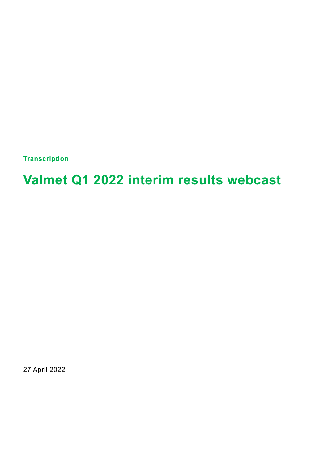**Transcription**

# **Valmet Q1 2022 interim results webcast**

27 April 2022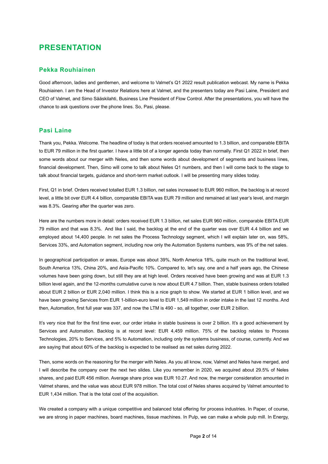# **PRESENTATION**

## **Pekka Rouhiainen**

Good afternoon, ladies and gentlemen, and welcome to Valmet's Q1 2022 result publication webcast. My name is Pekka Rouhiainen. I am the Head of Investor Relations here at Valmet, and the presenters today are Pasi Laine, President and CEO of Valmet, and Simo Sääskilahti, Business Line President of Flow Control. After the presentations, you will have the chance to ask questions over the phone lines. So, Pasi, please.

## **Pasi Laine**

Thank you, Pekka. Welcome. The headline of today is that orders received amounted to 1.3 billion, and comparable EBITA to EUR 79 million in the first quarter. I have a little bit of a longer agenda today than normally. First Q1 2022 in brief, then some words about our merger with Neles, and then some words about development of segments and business lines, financial development. Then, Simo will come to talk about Neles Q1 numbers, and then I will come back to the stage to talk about financial targets, guidance and short-term market outlook. I will be presenting many slides today.

First, Q1 in brief. Orders received totalled EUR 1.3 billion, net sales increased to EUR 960 million, the backlog is at record level, a little bit over EUR 4.4 billion, comparable EBITA was EUR 79 million and remained at last year's level, and margin was 8.3%. Gearing after the quarter was zero.

Here are the numbers more in detail: orders received EUR 1.3 billion, net sales EUR 960 million, comparable EBITA EUR 79 million and that was 8.3%. And like I said, the backlog at the end of the quarter was over EUR 4.4 billion and we employed about 14,400 people. In net sales the Process Technology segment, which I will explain later on, was 58%, Services 33%, and Automation segment, including now only the Automation Systems numbers, was 9% of the net sales.

In geographical participation or areas, Europe was about 39%, North America 18%, quite much on the traditional level, South America 13%, China 20%, and Asia-Pacific 10%. Compared to, let's say, one and a half years ago, the Chinese volumes have been going down, but still they are at high level. Orders received have been growing and was at EUR 1.3 billion level again, and the 12-months cumulative curve is now about EUR 4.7 billion. Then, stable business orders totalled about EUR 2 billion or EUR 2,040 million. I think this is a nice graph to show. We started at EUR 1 billion level, and we have been growing Services from EUR 1-billion-euro level to EUR 1,549 million in order intake in the last 12 months. And then, Automation, first full year was 337, and now the LTM is 490 - so, all together, over EUR 2 billion.

It's very nice that for the first time ever, our order intake in stable business is over 2 billion. It's a good achievement by Services and Automation. Backlog is at record level: EUR 4,459 million. 75% of the backlog relates to Process Technologies, 20% to Services, and 5% to Automation, including only the systems business, of course, currently. And we are saying that about 60% of the backlog is expected to be realised as net sales during 2022.

Then, some words on the reasoning for the merger with Neles. As you all know, now, Valmet and Neles have merged, and I will describe the company over the next two slides. Like you remember in 2020, we acquired about 29.5% of Neles shares, and paid EUR 456 million. Average share price was EUR 10.27. And now, the merger consideration amounted in Valmet shares, and the value was about EUR 978 million. The total cost of Neles shares acquired by Valmet amounted to EUR 1,434 million. That is the total cost of the acquisition.

We created a company with a unique competitive and balanced total offering for process industries. In Paper, of course, we are strong in paper machines, board machines, tissue machines. In Pulp, we can make a whole pulp mill. In Energy,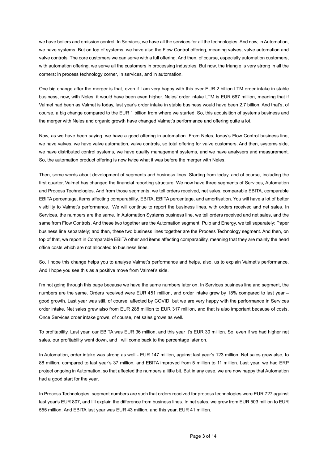we have boilers and emission control. In Services, we have all the services for all the technologies. And now, in Automation, we have systems. But on top of systems, we have also the Flow Control offering, meaning valves, valve automation and valve controls. The core customers we can serve with a full offering. And then, of course, especially automation customers, with automation offering, we serve all the customers in processing industries. But now, the triangle is very strong in all the corners: in process technology corner, in services, and in automation.

One big change after the merger is that, even if I am very happy with this over EUR 2 billion LTM order intake in stable business, now, with Neles, it would have been even higher. Neles' order intake LTM is EUR 667 million, meaning that if Valmet had been as Valmet is today, last year's order intake in stable business would have been 2.7 billion. And that's, of course, a big change compared to the EUR 1 billion from where we started. So, this acquisition of systems business and the merger with Neles and organic growth have changed Valmet's performance and offering quite a lot.

Now, as we have been saying, we have a good offering in automation. From Neles, today's Flow Control business line, we have valves, we have valve automation, valve controls, so total offering for valve customers. And then, systems side, we have distributed control systems, we have quality management systems, and we have analysers and measurement. So, the automation product offering is now twice what it was before the merger with Neles.

Then, some words about development of segments and business lines. Starting from today, and of course, including the first quarter, Valmet has changed the financial reporting structure. We now have three segments of Services, Automation and Process Technologies. And from those segments, we tell orders received, net sales, comparable EBITA, comparable EBITA percentage, items affecting comparability, EBITA, EBITA percentage, and amortisation. You will have a lot of better visibility to Valmet's performance. We will continue to report the business lines, with orders received and net sales. In Services, the numbers are the same. In Automation Systems business line, we tell orders received and net sales, and the same from Flow Controls. And these two together are the Automation segment. Pulp and Energy, we tell separately; Paper business line separately; and then, these two business lines together are the Process Technology segment. And then, on top of that, we report in Comparable EBITA other and items affecting comparability, meaning that they are mainly the head office costs which are not allocated to business lines.

So, I hope this change helps you to analyse Valmet's performance and helps, also, us to explain Valmet's performance. And I hope you see this as a positive move from Valmet's side.

I'm not going through this page because we have the same numbers later on. In Services business line and segment, the numbers are the same. Orders received were EUR 451 million, and order intake grew by 18% compared to last year – good growth. Last year was still, of course, affected by COVID, but we are very happy with the performance in Services order intake. Net sales grew also from EUR 288 million to EUR 317 million, and that is also important because of costs. Once Services order intake grows, of course, net sales grows as well.

To profitability. Last year, our EBITA was EUR 36 million, and this year it's EUR 30 million. So, even if we had higher net sales, our profitability went down, and I will come back to the percentage later on.

In Automation, order intake was strong as well - EUR 147 million, against last year's 123 million. Net sales grew also, to 88 million, compared to last year's 37 million, and EBITA improved from 5 million to 11 million. Last year, we had ERP project ongoing in Automation, so that affected the numbers a little bit. But in any case, we are now happy that Automation had a good start for the year.

In Process Technologies, segment numbers are such that orders received for process technologies were EUR 727 against last year's EUR 807, and I'll explain the difference from business lines. In net sales, we grew from EUR 503 million to EUR 555 million. And EBITA last year was EUR 43 million, and this year, EUR 41 million.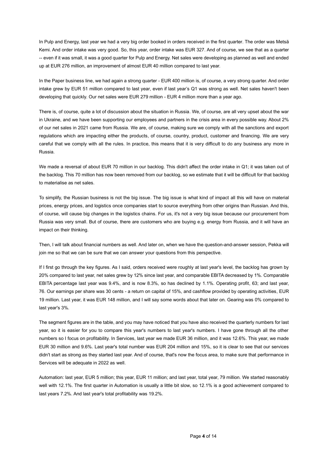In Pulp and Energy, last year we had a very big order booked in orders received in the first quarter. The order was Metsä Kemi. And order intake was very good. So, this year, order intake was EUR 327. And of course, we see that as a quarter -- even if it was small, it was a good quarter for Pulp and Energy. Net sales were developing as planned as well and ended up at EUR 276 million, an improvement of almost EUR 40 million compared to last year.

In the Paper business line, we had again a strong quarter - EUR 400 million is, of course, a very strong quarter. And order intake grew by EUR 51 million compared to last year, even if last year's Q1 was strong as well. Net sales haven't been developing that quickly. Our net sales were EUR 279 million - EUR 4 million more than a year ago.

There is, of course, quite a lot of discussion about the situation in Russia. We, of course, are all very upset about the war in Ukraine, and we have been supporting our employees and partners in the crisis area in every possible way. About 2% of our net sales in 2021 came from Russia. We are, of course, making sure we comply with all the sanctions and export regulations which are impacting either the products, of course, country, product, customer and financing. We are very careful that we comply with all the rules. In practice, this means that it is very difficult to do any business any more in Russia.

We made a reversal of about EUR 70 million in our backlog. This didn't affect the order intake in Q1; it was taken out of the backlog. This 70 million has now been removed from our backlog, so we estimate that it will be difficult for that backlog to materialise as net sales.

To simplify, the Russian business is not the big issue. The big issue is what kind of impact all this will have on material prices, energy prices, and logistics once companies start to source everything from other origins than Russian. And this, of course, will cause big changes in the logistics chains. For us, it's not a very big issue because our procurement from Russia was very small. But of course, there are customers who are buying e.g. energy from Russia, and it will have an impact on their thinking.

Then, I will talk about financial numbers as well. And later on, when we have the question-and-answer session, Pekka will join me so that we can be sure that we can answer your questions from this perspective.

If I first go through the key figures. As I said, orders received were roughly at last year's level, the backlog has grown by 20% compared to last year, net sales grew by 12% since last year, and comparable EBITA decreased by 1%. Comparable EBITA percentage last year was 9.4%, and is now 8.3%, so has declined by 1.1%. Operating profit, 63; and last year, 76. Our earnings per share was 30 cents - a return on capital of 15%, and cashflow provided by operating activities, EUR 19 million. Last year, it was EUR 148 million, and I will say some words about that later on. Gearing was 0% compared to last year's 3%.

The segment figures are in the table, and you may have noticed that you have also received the quarterly numbers for last year, so it is easier for you to compare this year's numbers to last year's numbers. I have gone through all the other numbers so I focus on profitability. In Services, last year we made EUR 36 million, and it was 12.6%. This year, we made EUR 30 million and 9.6%. Last year's total number was EUR 204 million and 15%, so it is clear to see that our services didn't start as strong as they started last year. And of course, that's now the focus area, to make sure that performance in Services will be adequate in 2022 as well.

Automation: last year, EUR 5 million; this year, EUR 11 million; and last year, total year, 79 million. We started reasonably well with 12.1%. The first quarter in Automation is usually a little bit slow, so 12.1% is a good achievement compared to last years 7.2%. And last year's total profitability was 19.2%.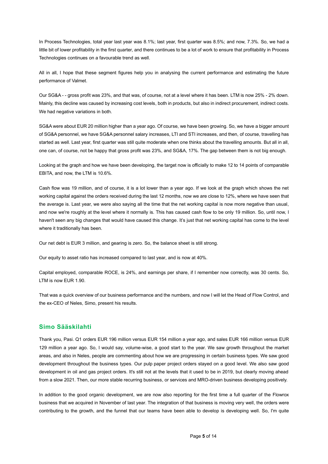In Process Technologies, total year last year was 8.1%; last year, first quarter was 8.5%; and now, 7.3%. So, we had a little bit of lower profitability in the first quarter, and there continues to be a lot of work to ensure that profitability in Process Technologies continues on a favourable trend as well.

All in all, I hope that these segment figures help you in analysing the current performance and estimating the future performance of Valmet.

Our SG&A - - gross profit was 23%, and that was, of course, not at a level where it has been. LTM is now 25% - 2% down. Mainly, this decline was caused by increasing cost levels, both in products, but also in indirect procurement, indirect costs. We had negative variations in both.

SG&A were about EUR 20 million higher than a year ago. Of course, we have been growing. So, we have a bigger amount of SG&A personnel, we have SG&A personnel salary increases, LTI and STI increases, and then, of course, travelling has started as well. Last year, first quarter was still quite moderate when one thinks about the travelling amounts. But all in all, one can, of course, not be happy that gross profit was 23%, and SG&A, 17%. The gap between them is not big enough.

Looking at the graph and how we have been developing, the target now is officially to make 12 to 14 points of comparable EBITA, and now, the LTM is 10.6%.

Cash flow was 19 million, and of course, it is a lot lower than a year ago. If we look at the graph which shows the net working capital against the orders received during the last 12 months, now we are close to 12%, where we have seen that the average is. Last year, we were also saying all the time that the net working capital is now more negative than usual, and now we're roughly at the level where it normally is. This has caused cash flow to be only 19 million. So, until now, I haven't seen any big changes that would have caused this change. It's just that net working capital has come to the level where it traditionally has been.

Our net debt is EUR 3 million, and gearing is zero. So, the balance sheet is still strong.

Our equity to asset ratio has increased compared to last year, and is now at 40%.

Capital employed, comparable ROCE, is 24%, and earnings per share, if I remember now correctly, was 30 cents. So, LTM is now EUR 1.90.

That was a quick overview of our business performance and the numbers, and now I will let the Head of Flow Control, and the ex-CEO of Neles, Simo, present his results.

## **Simo Sääskilahti**

Thank you, Pasi. Q1 orders EUR 196 million versus EUR 154 million a year ago, and sales EUR 166 million versus EUR 129 million a year ago. So, I would say, volume-wise, a good start to the year. We saw growth throughout the market areas, and also in Neles, people are commenting about how we are progressing in certain business types. We saw good development throughout the business types. Our pulp paper project orders stayed on a good level. We also saw good development in oil and gas project orders. It's still not at the levels that it used to be in 2019, but clearly moving ahead from a slow 2021. Then, our more stable recurring business, or services and MRO-driven business developing positively.

In addition to the good organic development, we are now also reporting for the first time a full quarter of the Flowrox business that we acquired in November of last year. The integration of that business is moving very well, the orders were contributing to the growth, and the funnel that our teams have been able to develop is developing well. So, I'm quite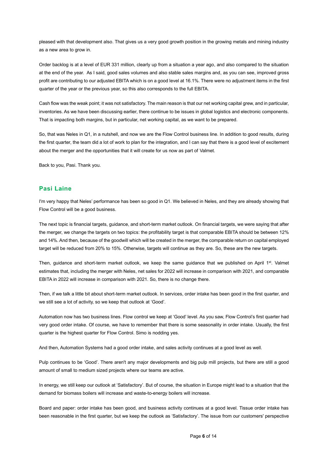pleased with that development also. That gives us a very good growth position in the growing metals and mining industry as a new area to grow in.

Order backlog is at a level of EUR 331 million, clearly up from a situation a year ago, and also compared to the situation at the end of the year. As I said, good sales volumes and also stable sales margins and, as you can see, improved gross profit are contributing to our adjusted EBITA which is on a good level at 16.1%. There were no adjustment items in the first quarter of the year or the previous year, so this also corresponds to the full EBITA.

Cash flow was the weak point; it was not satisfactory. The main reason is that our net working capital grew, and in particular, inventories. As we have been discussing earlier, there continue to be issues in global logistics and electronic components. That is impacting both margins, but in particular, net working capital, as we want to be prepared.

So, that was Neles in Q1, in a nutshell, and now we are the Flow Control business line. In addition to good results, during the first quarter, the team did a lot of work to plan for the integration, and I can say that there is a good level of excitement about the merger and the opportunities that it will create for us now as part of Valmet.

Back to you, Pasi. Thank you.

## **Pasi Laine**

I'm very happy that Neles' performance has been so good in Q1. We believed in Neles, and they are already showing that Flow Control will be a good business.

The next topic is financial targets, guidance, and short-term market outlook. On financial targets, we were saying that after the merger, we change the targets on two topics: the profitability target is that comparable EBITA should be between 12% and 14%. And then, because of the goodwill which will be created in the merger, the comparable return on capital employed target will be reduced from 20% to 15%. Otherwise, targets will continue as they are. So, these are the new targets.

Then, quidance and short-term market outlook, we keep the same quidance that we published on April 1<sup>st</sup>. Valmet estimates that, including the merger with Neles, net sales for 2022 will increase in comparison with 2021, and comparable EBITA in 2022 will increase in comparison with 2021. So, there is no change there.

Then, if we talk a little bit about short-term market outlook. In services, order intake has been good in the first quarter, and we still see a lot of activity, so we keep that outlook at 'Good'.

Automation now has two business lines. Flow control we keep at 'Good' level. As you saw, Flow Control's first quarter had very good order intake. Of course, we have to remember that there is some seasonality in order intake. Usually, the first quarter is the highest quarter for Flow Control. Simo is nodding yes.

And then, Automation Systems had a good order intake, and sales activity continues at a good level as well.

Pulp continues to be 'Good'. There aren't any major developments and big pulp mill projects, but there are still a good amount of small to medium sized projects where our teams are active.

In energy, we still keep our outlook at 'Satisfactory'. But of course, the situation in Europe might lead to a situation that the demand for biomass boilers will increase and waste-to-energy boilers will increase.

Board and paper: order intake has been good, and business activity continues at a good level. Tissue order intake has been reasonable in the first quarter, but we keep the outlook as 'Satisfactory'. The issue from our customers' perspective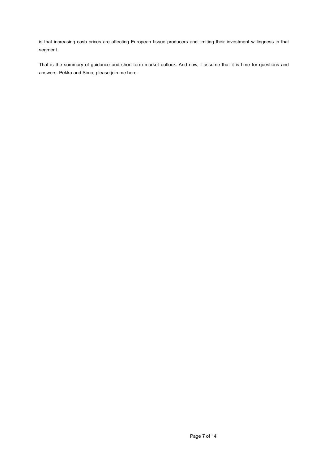is that increasing cash prices are affecting European tissue producers and limiting their investment willingness in that segment.

That is the summary of guidance and short-term market outlook. And now, I assume that it is time for questions and answers. Pekka and Simo, please join me here.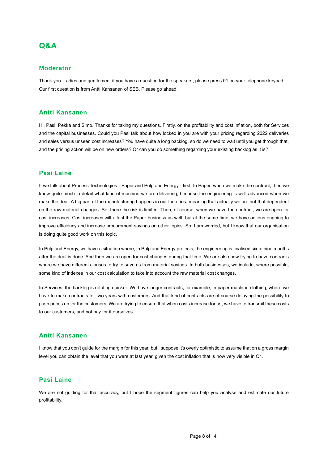## **Q&A**

## **Moderator**

Thank you. Ladies and gentlemen, if you have a question for the speakers, please press 01 on your telephone keypad. Our first question is from Antti Kansanen of SEB. Please go ahead.

## **Antti Kansanen**

Hi, Pasi, Pekka and Simo. Thanks for taking my questions. Firstly, on the profitability and cost inflation, both for Services and the capital businesses. Could you Pasi talk about how locked in you are with your pricing regarding 2022 deliveries and sales versus unseen cost increases? You have quite a long backlog, so do we need to wait until you get through that, and the pricing action will be on new orders? Or can you do something regarding your existing backlog as it is?

## **Pasi Laine**

If we talk about Process Technologies - Paper and Pulp and Energy - first. In Paper, when we make the contract, then we know quite much in detail what kind of machine we are delivering, because the engineering is well-advanced when we make the deal. A big part of the manufacturing happens in our factories, meaning that actually we are not that dependent on the raw material changes. So, there the risk is limited. Then, of course, when we have the contract, we are open for cost increases. Cost increases will affect the Paper business as well, but at the same time, we have actions ongoing to improve efficiency and increase procurement savings on other topics. So, I am worried, but I know that our organisation is doing quite good work on this topic.

In Pulp and Energy, we have a situation where, in Pulp and Energy projects, the engineering is finalised six to nine months after the deal is done. And then we are open for cost changes during that time. We are also now trying to have contracts where we have different clauses to try to save us from material savings. In both businesses, we include, where possible, some kind of indexes in our cost calculation to take into account the raw material cost changes.

In Services, the backlog is rotating quicker. We have longer contracts, for example, in paper machine clothing, where we have to make contracts for two years with customers. And that kind of contracts are of course delaying the possibility to push prices up for the customers. We are trying to ensure that when costs increase for us, we have to transmit these costs to our customers, and not pay for it ourselves.

## **Antti Kansanen**

I know that you don't guide for the margin for this year, but I suppose it's overly optimistic to assume that on a gross margin level you can obtain the level that you were at last year, given the cost inflation that is now very visible in Q1.

## **Pasi Laine**

We are not guiding for that accuracy, but I hope the segment figures can help you analyse and estimate our future profitability.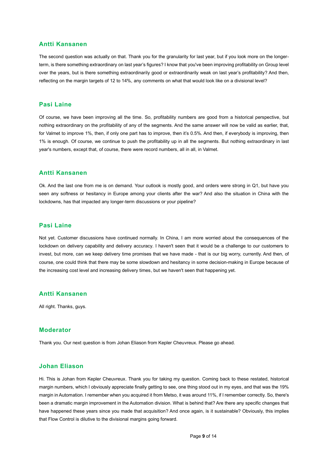## **Antti Kansanen**

The second question was actually on that. Thank you for the granularity for last year, but if you look more on the longerterm, is there something extraordinary on last year's figures? I know that you've been improving profitability on Group level over the years, but is there something extraordinarily good or extraordinarily weak on last year's profitability? And then, reflecting on the margin targets of 12 to 14%, any comments on what that would look like on a divisional level?

## **Pasi Laine**

Of course, we have been improving all the time. So, profitability numbers are good from a historical perspective, but nothing extraordinary on the profitability of any of the segments. And the same answer will now be valid as earlier, that, for Valmet to improve 1%, then, if only one part has to improve, then it's 0.5%. And then, if everybody is improving, then 1% is enough. Of course, we continue to push the profitability up in all the segments. But nothing extraordinary in last year's numbers, except that, of course, there were record numbers, all in all, in Valmet.

## **Antti Kansanen**

Ok. And the last one from me is on demand. Your outlook is mostly good, and orders were strong in Q1, but have you seen any softness or hesitancy in Europe among your clients after the war? And also the situation in China with the lockdowns, has that impacted any longer-term discussions or your pipeline?

#### **Pasi Laine**

Not yet. Customer discussions have continued normally. In China, I am more worried about the consequences of the lockdown on delivery capability and delivery accuracy. I haven't seen that it would be a challenge to our customers to invest, but more, can we keep delivery time promises that we have made - that is our big worry, currently. And then, of course, one could think that there may be some slowdown and hesitancy in some decision-making in Europe because of the increasing cost level and increasing delivery times, but we haven't seen that happening yet.

#### **Antti Kansanen**

All right. Thanks, guys.

## **Moderator**

Thank you. Our next question is from Johan Eliason from Kepler Cheuvreux. Please go ahead.

## **Johan Eliason**

Hi. This is Johan from Kepler Cheuvreux. Thank you for taking my question. Coming back to these restated, historical margin numbers, which I obviously appreciate finally getting to see, one thing stood out in my eyes, and that was the 19% margin in Automation. I remember when you acquired it from Metso, it was around 11%, if I remember correctly. So, there's been a dramatic margin improvement in the Automation division. What is behind that? Are there any specific changes that have happened these years since you made that acquisition? And once again, is it sustainable? Obviously, this implies that Flow Control is dilutive to the divisional margins going forward.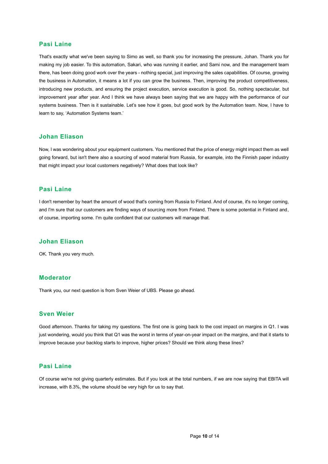## **Pasi Laine**

That's exactly what we've been saying to Simo as well, so thank you for increasing the pressure, Johan. Thank you for making my job easier. To this automation, Sakari, who was running it earlier, and Sami now, and the management team there, has been doing good work over the years - nothing special, just improving the sales capabilities. Of course, growing the business in Automation, it means a lot if you can grow the business. Then, improving the product competitiveness, introducing new products, and ensuring the project execution, service execution is good. So, nothing spectacular, but improvement year after year. And I think we have always been saying that we are happy with the performance of our systems business. Then is it sustainable. Let's see how it goes, but good work by the Automation team. Now, I have to learn to say, 'Automation Systems team.'

## **Johan Eliason**

Now, I was wondering about your equipment customers. You mentioned that the price of energy might impact them as well going forward, but isn't there also a sourcing of wood material from Russia, for example, into the Finnish paper industry that might impact your local customers negatively? What does that look like?

## **Pasi Laine**

I don't remember by heart the amount of wood that's coming from Russia to Finland. And of course, it's no longer coming, and I'm sure that our customers are finding ways of sourcing more from Finland. There is some potential in Finland and, of course, importing some. I'm quite confident that our customers will manage that.

#### **Johan Eliason**

OK. Thank you very much.

## **Moderator**

Thank you, our next question is from Sven Weier of UBS. Please go ahead.

## **Sven Weier**

Good afternoon. Thanks for taking my questions. The first one is going back to the cost impact on margins in Q1. I was just wondering, would you think that Q1 was the worst in terms of year-on-year impact on the margins, and that it starts to improve because your backlog starts to improve, higher prices? Should we think along these lines?

## **Pasi Laine**

Of course we're not giving quarterly estimates. But if you look at the total numbers, if we are now saying that EBITA will increase, with 8.3%, the volume should be very high for us to say that.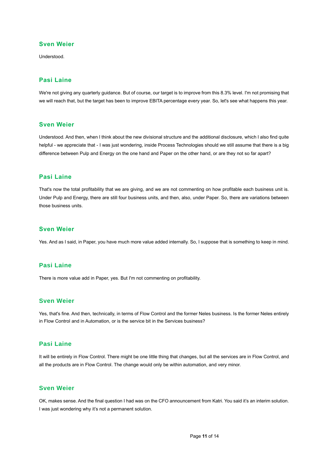## **Sven Weier**

Understood.

## **Pasi Laine**

We're not giving any quarterly guidance. But of course, our target is to improve from this 8.3% level. I'm not promising that we will reach that, but the target has been to improve EBITA percentage every year. So, let's see what happens this year.

## **Sven Weier**

Understood. And then, when I think about the new divisional structure and the additional disclosure, which I also find quite helpful - we appreciate that - I was just wondering, inside Process Technologies should we still assume that there is a big difference between Pulp and Energy on the one hand and Paper on the other hand, or are they not so far apart?

## **Pasi Laine**

That's now the total profitability that we are giving, and we are not commenting on how profitable each business unit is. Under Pulp and Energy, there are still four business units, and then, also, under Paper. So, there are variations between those business units.

## **Sven Weier**

Yes. And as I said, in Paper, you have much more value added internally. So, I suppose that is something to keep in mind.

## **Pasi Laine**

There is more value add in Paper, yes. But I'm not commenting on profitability.

## **Sven Weier**

Yes, that's fine. And then, technically, in terms of Flow Control and the former Neles business. Is the former Neles entirely in Flow Control and in Automation, or is the service bit in the Services business?

## **Pasi Laine**

It will be entirely in Flow Control. There might be one little thing that changes, but all the services are in Flow Control, and all the products are in Flow Control. The change would only be within automation, and very minor.

## **Sven Weier**

OK, makes sense. And the final question I had was on the CFO announcement from Katri. You said it's an interim solution. I was just wondering why it's not a permanent solution.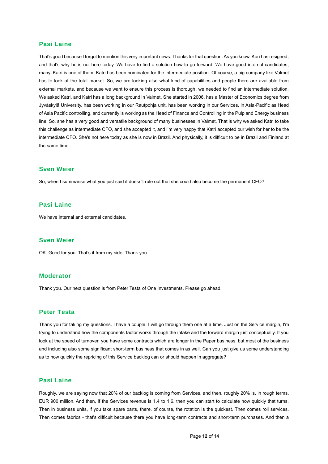## **Pasi Laine**

That's good because I forgot to mention this very important news. Thanks for that question. As you know, Kari has resigned, and that's why he is not here today. We have to find a solution how to go forward. We have good internal candidates, many. Katri is one of them. Katri has been nominated for the intermediate position. Of course, a big company like Valmet has to look at the total market. So, we are looking also what kind of capabilities and people there are available from external markets, and because we want to ensure this process is thorough, we needed to find an intermediate solution. We asked Katri, and Katri has a long background in Valmet. She started in 2006, has a Master of Economics degree from Jyväskylä University, has been working in our Rautpohja unit, has been working in our Services, in Asia-Pacific as Head of Asia Pacific controlling, and currently is working as the Head of Finance and Controlling in the Pulp and Energy business line. So, she has a very good and versatile background of many businesses in Valmet. That is why we asked Katri to take this challenge as intermediate CFO, and she accepted it, and I'm very happy that Katri accepted our wish for her to be the intermediate CFO. She's not here today as she is now in Brazil. And physically, it is difficult to be in Brazil and Finland at the same time.

#### **Sven Weier**

So, when I summarise what you just said it doesn't rule out that she could also become the permanent CFO?

## **Pasi Laine**

We have internal and external candidates.

## **Sven Weier**

OK. Good for you. That's it from my side. Thank you.

## **Moderator**

Thank you. Our next question is from Peter Testa of One Investments. Please go ahead.

## **Peter Testa**

Thank you for taking my questions. I have a couple. I will go through them one at a time. Just on the Service margin, I'm trying to understand how the components factor works through the intake and the forward margin just conceptually. If you look at the speed of turnover, you have some contracts which are longer in the Paper business, but most of the business and including also some significant short-term business that comes in as well. Can you just give us some understanding as to how quickly the repricing of this Service backlog can or should happen in aggregate?

#### **Pasi Laine**

Roughly, we are saying now that 20% of our backlog is coming from Services, and then, roughly 20% is, in rough terms, EUR 900 million. And then, if the Services revenue is 1.4 to 1.6, then you can start to calculate how quickly that turns. Then in business units, if you take spare parts, there, of course, the rotation is the quickest. Then comes roll services. Then comes fabrics - that's difficult because there you have long-term contracts and short-term purchases. And then a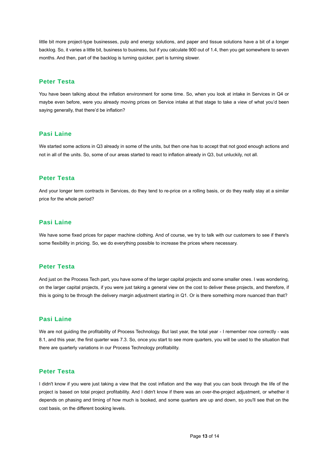little bit more project-type businesses, pulp and energy solutions, and paper and tissue solutions have a bit of a longer backlog. So, it varies a little bit, business to business, but if you calculate 900 out of 1.4, then you get somewhere to seven months. And then, part of the backlog is turning quicker, part is turning slower.

## **Peter Testa**

You have been talking about the inflation environment for some time. So, when you look at intake in Services in Q4 or maybe even before, were you already moving prices on Service intake at that stage to take a view of what you'd been saying generally, that there'd be inflation?

## **Pasi Laine**

We started some actions in Q3 already in some of the units, but then one has to accept that not good enough actions and not in all of the units. So, some of our areas started to react to inflation already in Q3, but unluckily, not all.

## **Peter Testa**

And your longer term contracts in Services, do they tend to re-price on a rolling basis, or do they really stay at a similar price for the whole period?

## **Pasi Laine**

We have some fixed prices for paper machine clothing. And of course, we try to talk with our customers to see if there's some flexibility in pricing. So, we do everything possible to increase the prices where necessary.

## **Peter Testa**

And just on the Process Tech part, you have some of the larger capital projects and some smaller ones. I was wondering, on the larger capital projects, if you were just taking a general view on the cost to deliver these projects, and therefore, if this is going to be through the delivery margin adjustment starting in Q1. Or is there something more nuanced than that?

## **Pasi Laine**

We are not guiding the profitability of Process Technology. But last year, the total year - I remember now correctly - was 8.1, and this year, the first quarter was 7.3. So, once you start to see more quarters, you will be used to the situation that there are quarterly variations in our Process Technology profitability.

## **Peter Testa**

I didn't know if you were just taking a view that the cost inflation and the way that you can book through the life of the project is based on total project profitability. And I didn't know if there was an over-the-project adjustment, or whether it depends on phasing and timing of how much is booked, and some quarters are up and down, so you'll see that on the cost basis, on the different booking levels.